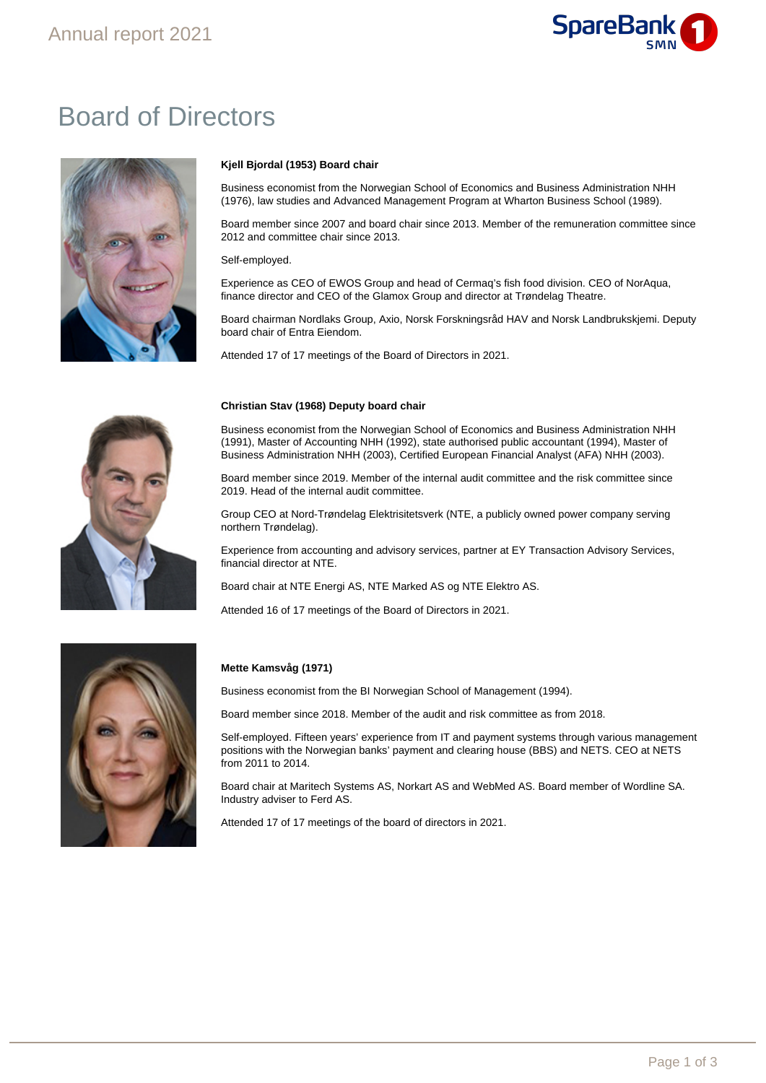

# Board of Directors



### **Kjell Bjordal (1953) Board chair**

Business economist from the Norwegian School of Economics and Business Administration NHH (1976), law studies and Advanced Management Program at Wharton Business School (1989).

Board member since 2007 and board chair since 2013. Member of the remuneration committee since 2012 and committee chair since 2013.

Self-employed.

Experience as CEO of EWOS Group and head of Cermaq's fish food division. CEO of NorAqua, finance director and CEO of the Glamox Group and director at Trøndelag Theatre.

Board chairman Nordlaks Group, Axio, Norsk Forskningsråd HAV and Norsk Landbrukskjemi. Deputy board chair of Entra Eiendom.

Attended 17 of 17 meetings of the Board of Directors in 2021.



#### **Christian Stav (1968) Deputy board chair**

Business economist from the Norwegian School of Economics and Business Administration NHH (1991), Master of Accounting NHH (1992), state authorised public accountant (1994), Master of Business Administration NHH (2003), Certified European Financial Analyst (AFA) NHH (2003).

Board member since 2019. Member of the internal audit committee and the risk committee since 2019. Head of the internal audit committee.

Group CEO at Nord-Trøndelag Elektrisitetsverk (NTE, a publicly owned power company serving northern Trøndelag).

Experience from accounting and advisory services, partner at EY Transaction Advisory Services, financial director at NTE.

Board chair at NTE Energi AS, NTE Marked AS og NTE Elektro AS.

Attended 16 of 17 meetings of the Board of Directors in 2021.



### **Mette Kamsvåg (1971)**

Business economist from the BI Norwegian School of Management (1994).

Board member since 2018. Member of the audit and risk committee as from 2018.

Self-employed. Fifteen years' experience from IT and payment systems through various management positions with the Norwegian banks' payment and clearing house (BBS) and NETS. CEO at NETS from 2011 to 2014.

Board chair at Maritech Systems AS, Norkart AS and WebMed AS. Board member of Wordline SA. Industry adviser to Ferd AS.

Attended 17 of 17 meetings of the board of directors in 2021.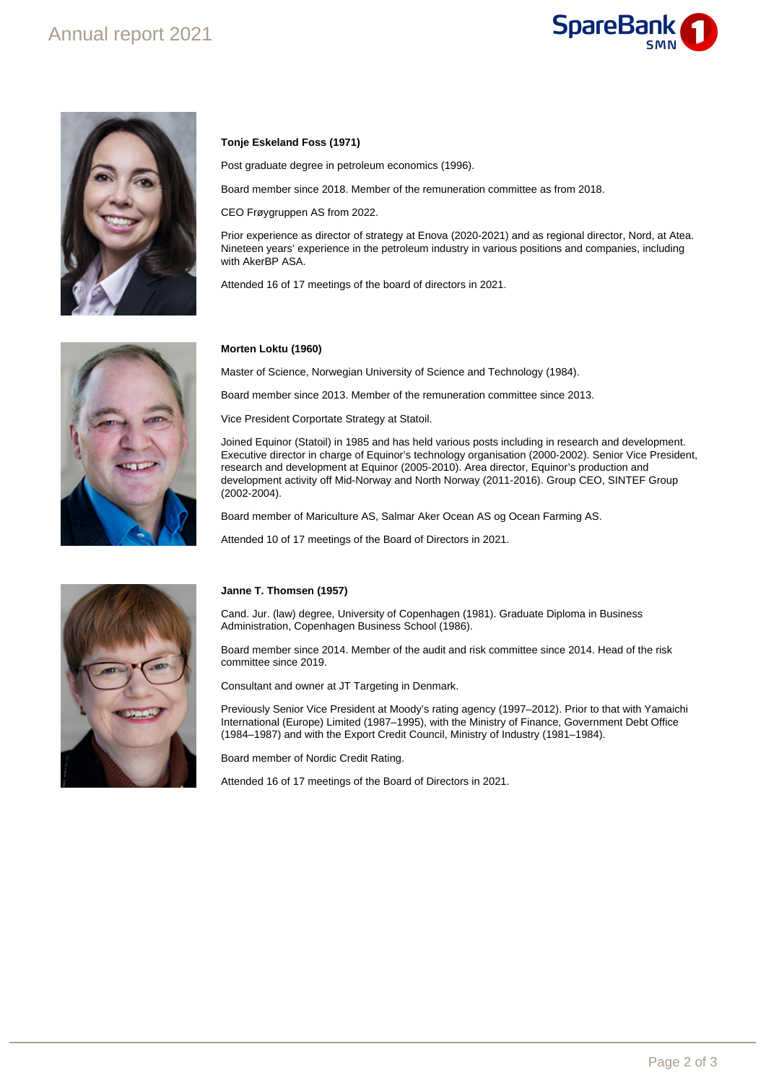# Annual report 2021





# **Tonje Eskeland Foss (1971)**

Post graduate degree in petroleum economics (1996).

Board member since 2018. Member of the remuneration committee as from 2018.

CEO Frøygruppen AS from 2022.

Prior experience as director of strategy at Enova (2020-2021) and as regional director, Nord, at Atea. Nineteen years' experience in the petroleum industry in various positions and companies, including with AkerBP ASA.

Attended 16 of 17 meetings of the board of directors in 2021.



#### **Morten Loktu (1960)**

Master of Science, Norwegian University of Science and Technology (1984).

Board member since 2013. Member of the remuneration committee since 2013.

Vice President Corportate Strategy at Statoil.

Joined Equinor (Statoil) in 1985 and has held various posts including in research and development. Executive director in charge of Equinor's technology organisation (2000-2002). Senior Vice President, research and development at Equinor (2005-2010). Area director, Equinor's production and development activity off Mid-Norway and North Norway (2011-2016). Group CEO, SINTEF Group (2002-2004).

Board member of Mariculture AS, Salmar Aker Ocean AS og Ocean Farming AS.

Attended 10 of 17 meetings of the Board of Directors in 2021.



#### **Janne T. Thomsen (1957)**

Cand. Jur. (law) degree, University of Copenhagen (1981). Graduate Diploma in Business Administration, Copenhagen Business School (1986).

Board member since 2014. Member of the audit and risk committee since 2014. Head of the risk committee since 2019.

Consultant and owner at JT Targeting in Denmark.

Previously Senior Vice President at Moody's rating agency (1997–2012). Prior to that with Yamaichi International (Europe) Limited (1987–1995), with the Ministry of Finance, Government Debt Office (1984–1987) and with the Export Credit Council, Ministry of Industry (1981–1984).

Board member of Nordic Credit Rating.

Attended 16 of 17 meetings of the Board of Directors in 2021.